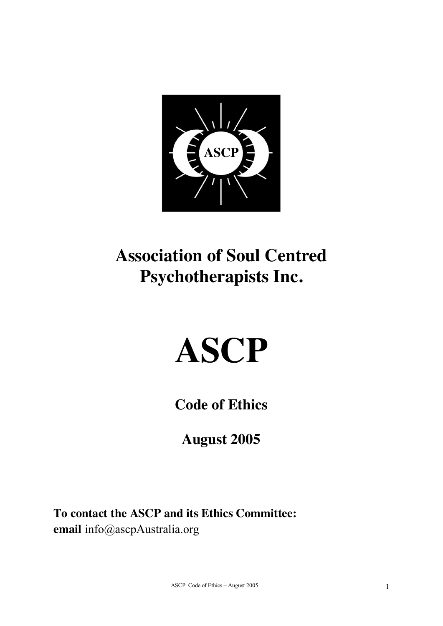

# **Association of Soul Centred Psychotherapists Inc.**

# **ASCP**

**Code of Ethics** 

**August 2005**

**To contact the ASCP and its Ethics Committee: email** info@ascpAustralia.org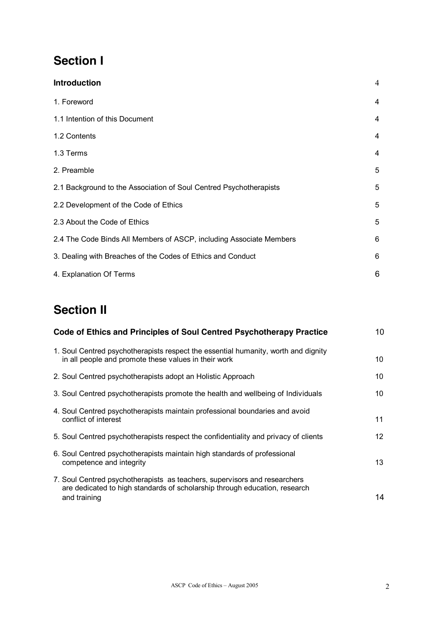# **Section I**

| <b>Introduction</b>                                                 | 4 |
|---------------------------------------------------------------------|---|
| 1. Foreword                                                         | 4 |
| 1.1 Intention of this Document                                      | 4 |
| 1.2 Contents                                                        | 4 |
| 1.3 Terms                                                           | 4 |
| 2. Preamble                                                         | 5 |
| 2.1 Background to the Association of Soul Centred Psychotherapists  | 5 |
| 2.2 Development of the Code of Ethics                               | 5 |
| 2.3 About the Code of Ethics                                        | 5 |
| 2.4 The Code Binds All Members of ASCP, including Associate Members | 6 |
| 3. Dealing with Breaches of the Codes of Ethics and Conduct         | 6 |
| 4. Explanation Of Terms                                             | 6 |

# **Section II**

| Code of Ethics and Principles of Soul Centred Psychotherapy Practice                                                                                                    | 10              |
|-------------------------------------------------------------------------------------------------------------------------------------------------------------------------|-----------------|
| 1. Soul Centred psychotherapists respect the essential humanity, worth and dignity<br>in all people and promote these values in their work                              | 10              |
| 2. Soul Centred psychotherapists adopt an Holistic Approach                                                                                                             | 10              |
| 3. Soul Centred psychotherapists promote the health and wellbeing of Individuals                                                                                        | 10              |
| 4. Soul Centred psychotherapists maintain professional boundaries and avoid<br>conflict of interest                                                                     | 11              |
| 5. Soul Centred psychotherapists respect the confidentiality and privacy of clients                                                                                     | 12 <sup>2</sup> |
| 6. Soul Centred psychotherapists maintain high standards of professional<br>competence and integrity                                                                    | 13              |
| 7. Soul Centred psychotherapists as teachers, supervisors and researchers<br>are dedicated to high standards of scholarship through education, research<br>and training | 14              |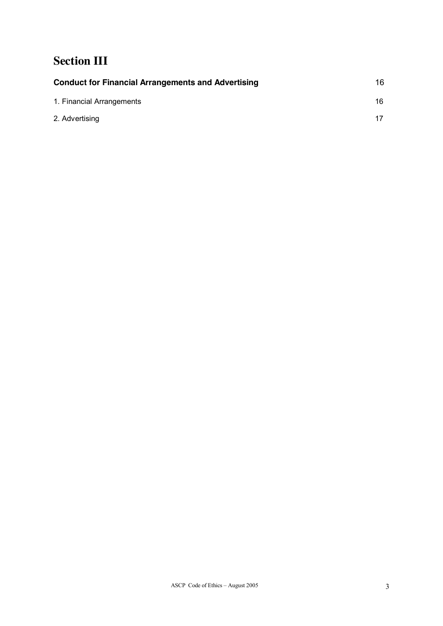# **Section III**

| <b>Conduct for Financial Arrangements and Advertising</b> | 16  |
|-----------------------------------------------------------|-----|
| 1. Financial Arrangements                                 | 16. |
| 2. Advertising                                            | 17  |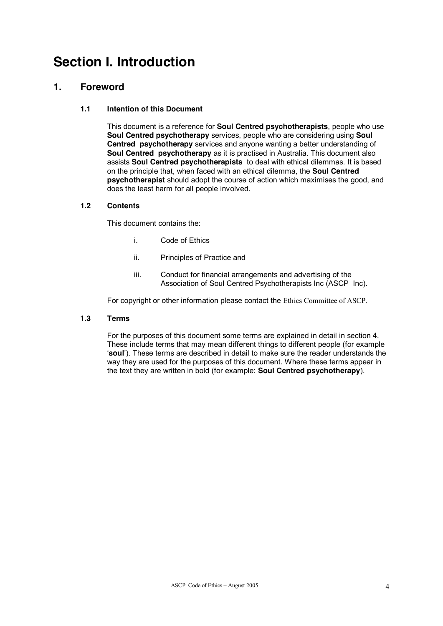# **Section I. Introduction**

## **1. Foreword**

#### **1.1 Intention of this Document**

This document is a reference for **Soul Centred psychotherapists**, people who use **Soul Centred psychotherapy** services, people who are considering using **Soul Centred psychotherapy** services and anyone wanting a better understanding of **Soul Centred psychotherapy** as it is practised in Australia. This document also assists **Soul Centred psychotherapists** to deal with ethical dilemmas. It is based on the principle that, when faced with an ethical dilemma, the **Soul Centred psychotherapist** should adopt the course of action which maximises the good, and does the least harm for all people involved.

#### **1.2 Contents**

This document contains the:

- i. Code of Ethics
- ii. Principles of Practice and
- iii. Conduct for financial arrangements and advertising of the Association of Soul Centred Psychotherapists Inc (ASCP Inc).

For copyright or other information please contact the Ethics Committee of ASCP.

#### **1.3 Terms**

For the purposes of this document some terms are explained in detail in section 4. These include terms that may mean different things to different people (for example '**soul**'). These terms are described in detail to make sure the reader understands the way they are used for the purposes of this document. Where these terms appear in the text they are written in bold (for example: **Soul Centred psychotherapy**).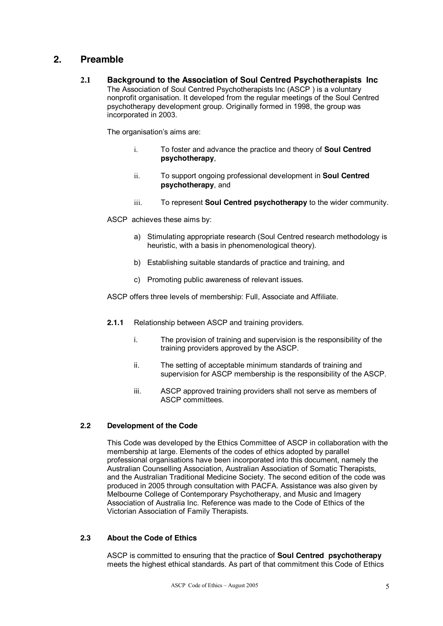## **2. Preamble**

**2.1 Background to the Association of Soul Centred Psychotherapists Inc**  The Association of Soul Centred Psychotherapists Inc (ASCP ) is a voluntary nonprofit organisation. It developed from the regular meetings of the Soul Centred psychotherapy development group. Originally formed in 1998, the group was incorporated in 2003.

The organisation's aims are:

- i. To foster and advance the practice and theory of **Soul Centred psychotherapy**,
- ii. To support ongoing professional development in **Soul Centred psychotherapy**, and
- iii. To represent **Soul Centred psychotherapy** to the wider community.
- ASCP achieves these aims by:
	- a) Stimulating appropriate research (Soul Centred research methodology is heuristic, with a basis in phenomenological theory).
	- b) Establishing suitable standards of practice and training, and
	- c) Promoting public awareness of relevant issues.

ASCP offers three levels of membership: Full, Associate and Affiliate.

- **2.1.1** Relationship between ASCP and training providers.
	- i. The provision of training and supervision is the responsibility of the training providers approved by the ASCP.
	- ii. The setting of acceptable minimum standards of training and supervision for ASCP membership is the responsibility of the ASCP.
	- iii. ASCP approved training providers shall not serve as members of ASCP committees.

#### **2.2 Development of the Code**

This Code was developed by the Ethics Committee of ASCP in collaboration with the membership at large. Elements of the codes of ethics adopted by parallel professional organisations have been incorporated into this document, namely the Australian Counselling Association, Australian Association of Somatic Therapists, and the Australian Traditional Medicine Society. The second edition of the code was produced in 2005 through consultation with PACFA. Assistance was also given by Melbourne College of Contemporary Psychotherapy, and Music and Imagery Association of Australia Inc. Reference was made to the Code of Ethics of the Victorian Association of Family Therapists.

#### **2.3 About the Code of Ethics**

ASCP is committed to ensuring that the practice of **Soul Centred psychotherapy** meets the highest ethical standards. As part of that commitment this Code of Ethics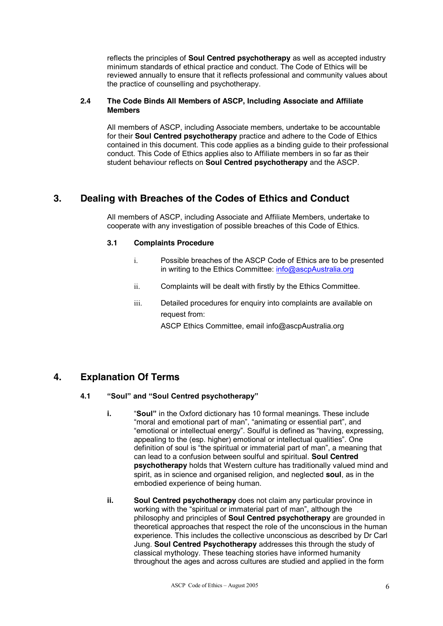reflects the principles of **Soul Centred psychotherapy** as well as accepted industry minimum standards of ethical practice and conduct. The Code of Ethics will be reviewed annually to ensure that it reflects professional and community values about the practice of counselling and psychotherapy.

#### **2.4 The Code Binds All Members of ASCP, Including Associate and Affiliate Members**

All members of ASCP, including Associate members, undertake to be accountable for their **Soul Centred psychotherapy** practice and adhere to the Code of Ethics contained in this document. This code applies as a binding guide to their professional conduct. This Code of Ethics applies also to Affiliate members in so far as their student behaviour reflects on **Soul Centred psychotherapy** and the ASCP.

# **3. Dealing with Breaches of the Codes of Ethics and Conduct**

All members of ASCP, including Associate and Affiliate Members, undertake to cooperate with any investigation of possible breaches of this Code of Ethics.

#### **3.1 Complaints Procedure**

- i. Possible breaches of the ASCP Code of Ethics are to be presented in writing to the Ethics Committee: inf[o@ascpAustralia](mailto:ASCP2005@hotmail.com).org
- ii. Complaints will be dealt with firstly by the Ethics Committee.
- iii. Detailed procedures for enquiry into complaints are available on request from:
	- ASCP Ethics Committee, email info@ascpAustralia.org

# **4. Explanation Of Terms**

#### **4.1 "Soul" and "Soul Centred psychotherapy"**

- **i.** "**Soul"** in the Oxford dictionary has 10 formal meanings. These include "moral and emotional part of man", "animating or essential part", and "emotional or intellectual energy". Soulful is defined as "having, expressing, appealing to the (esp. higher) emotional or intellectual qualities". One definition of soul is "the spiritual or immaterial part of man", a meaning that can lead to a confusion between soulful and spiritual. **Soul Centred psychotherapy** holds that Western culture has traditionally valued mind and spirit, as in science and organised religion, and neglected **soul**, as in the embodied experience of being human.
- **ii. Soul Centred psychotherapy** does not claim any particular province in working with the "spiritual or immaterial part of man", although the philosophy and principles of **Soul Centred psychotherapy** are grounded in theoretical approaches that respect the role of the unconscious in the human experience. This includes the collective unconscious as described by Dr Carl Jung. **Soul Centred Psychotherapy** addresses this through the study of classical mythology. These teaching stories have informed humanity throughout the ages and across cultures are studied and applied in the form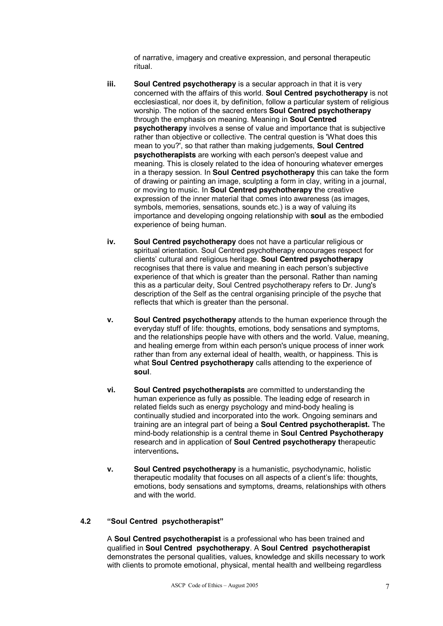of narrative, imagery and creative expression, and personal therapeutic ritual.

- **iii. Soul Centred psychotherapy** is a secular approach in that it is very concerned with the affairs of this world. **Soul Centred psychotherapy** is not ecclesiastical, nor does it, by definition, follow a particular system of religious worship. The notion of the sacred enters **Soul Centred psychotherapy** through the emphasis on meaning. Meaning in **Soul Centred psychotherapy** involves a sense of value and importance that is subjective rather than objective or collective. The central question is 'What does this mean to you?', so that rather than making judgements, **Soul Centred psychotherapists** are working with each person's deepest value and meaning. This is closely related to the idea of honouring whatever emerges in a therapy session. In **Soul Centred psychotherapy** this can take the form of drawing or painting an image, sculpting a form in clay, writing in a journal, or moving to music. In **Soul Centred psychotherapy t**he creative expression of the inner material that comes into awareness (as images, symbols, memories, sensations, sounds etc.) is a way of valuing its importance and developing ongoing relationship with **soul** as the embodied experience of being human.
- **iv. Soul Centred psychotherapy** does not have a particular religious or spiritual orientation. Soul Centred psychotherapy encourages respect for clients' cultural and religious heritage. **Soul Centred psychotherapy** recognises that there is value and meaning in each person's subjective experience of that which is greater than the personal. Rather than naming this as a particular deity, Soul Centred psychotherapy refers to Dr. Jung's description of the Self as the central organising principle of the psyche that reflects that which is greater than the personal.
- **v. Soul Centred psychotherapy** attends to the human experience through the everyday stuff of life: thoughts, emotions, body sensations and symptoms, and the relationships people have with others and the world. Value, meaning, and healing emerge from within each person's unique process of inner work rather than from any external ideal of health, wealth, or happiness. This is what **Soul Centred psychotherapy** calls attending to the experience of **soul**.
- **vi. Soul Centred psychotherapists** are committed to understanding the human experience as fully as possible. The leading edge of research in related fields such as energy psychology and mind-body healing is continually studied and incorporated into the work. Ongoing seminars and training are an integral part of being a **Soul Centred psychotherapist.** The mind-body relationship is a central theme in **Soul Centred Psychotherapy** research and in application of **Soul Centred psychotherapy t**herapeutic interventions**.**
- **v. Soul Centred psychotherapy** is a humanistic, psychodynamic, holistic therapeutic modality that focuses on all aspects of a client's life: thoughts, emotions, body sensations and symptoms, dreams, relationships with others and with the world.

#### **4.2 "Soul Centred psychotherapist"**

A **Soul Centred psychotherapist** is a professional who has been trained and qualified in **Soul Centred psychotherapy***.* A **Soul Centred psychotherapist** demonstrates the personal qualities, values, knowledge and skills necessary to work with clients to promote emotional, physical, mental health and wellbeing regardless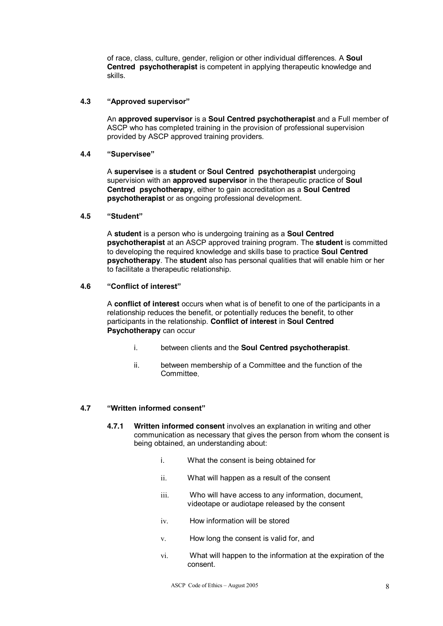of race, class, culture, gender, religion or other individual differences. A **Soul Centred psychotherapist** is competent in applying therapeutic knowledge and skills.

#### **4.3 "Approved supervisor"**

An **approved supervisor** is a **Soul Centred psychotherapist** and a Full member of ASCP who has completed training in the provision of professional supervision provided by ASCP approved training providers.

#### **4.4 "Supervisee"**

A **supervisee** is a **student** or **Soul Centred psychotherapist** undergoing supervision with an **approved supervisor** in the therapeutic practice of **Soul Centred psychotherapy**, either to gain accreditation as a **Soul Centred psychotherapist** or as ongoing professional development.

#### **4.5 "Student"**

A **student** is a person who is undergoing training as a **Soul Centred psychotherapist** at an ASCP approved training program. The **student** is committed to developing the required knowledge and skills base to practice **Soul Centred psychotherapy**. The **student** also has personal qualities that will enable him or her to facilitate a therapeutic relationship.

#### **4.6 "Conflict of interest"**

A **conflict of interest** occurs when what is of benefit to one of the participants in a relationship reduces the benefit, or potentially reduces the benefit, to other participants in the relationship. **Conflict of interest** in **Soul Centred Psychotherapy** can occur

- i. between clients and the **Soul Centred psychotherapist**.
- ii. between membership of a Committee and the function of the Committee.

#### **4.7 "Written informed consent"**

- **4.7.1 Written informed consent** involves an explanation in writing and other communication as necessary that gives the person from whom the consent is being obtained, an understanding about:
	- i. What the consent is being obtained for
	- ii. What will happen as a result of the consent
	- iii. Who will have access to any information, document, videotape or audiotape released by the consent
	- iv. How information will be stored
	- v. How long the consent is valid for, and
	- vi. What will happen to the information at the expiration of the consent.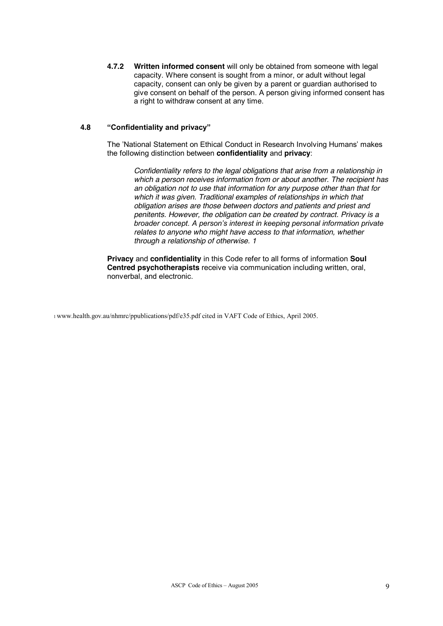**4.7.2 Written informed consent** will only be obtained from someone with legal capacity. Where consent is sought from a minor, or adult without legal capacity, consent can only be given by a parent or guardian authorised to give consent on behalf of the person. A person giving informed consent has a right to withdraw consent at any time.

#### **4.8 "Confidentiality and privacy"**

The 'National Statement on Ethical Conduct in Research Involving Humans' makes the following distinction between **confidentiality** and **privacy**:

*Confidentiality refers to the legal obligations that arise from a relationship in which a person receives information from or about another. The recipient has an obligation not to use that information for any purpose other than that for which it was given. Traditional examples of relationships in which that obligation arises are those between doctors and patients and priest and penitents. However, the obligation can be created by contract. Privacy is a broader concept. A person's interest in keeping personal information private relates to anyone who might have access to that information, whether through a relationship of otherwise. 1* 

**Privacy** and **confidentiality** in this Code refer to all forms of information **Soul Centred psychotherapists** receive via communication including written, oral, nonverbal, and electronic.

1 www.health.gov.au/nhmrc/ppublications/pdf/e35.pdf cited in VAFT Code of Ethics, April 2005.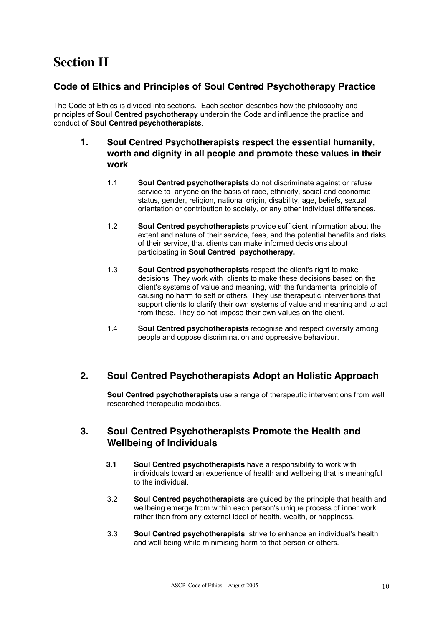# **Section II**

## **Code of Ethics and Principles of Soul Centred Psychotherapy Practice**

The Code of Ethics is divided into sections. Each section describes how the philosophy and principles of **Soul Centred psychotherapy** underpin the Code and influence the practice and conduct of **Soul Centred psychotherapists**.

## **1. Soul Centred Psychotherapists respect the essential humanity, worth and dignity in all people and promote these values in their work**

- 1.1 **Soul Centred psychotherapists** do not discriminate against or refuse service to anyone on the basis of race, ethnicity, social and economic status, gender, religion, national origin, disability, age, beliefs, sexual orientation or contribution to society, or any other individual differences.
- 1.2 **Soul Centred psychotherapists** provide sufficient information about the extent and nature of their service, fees, and the potential benefits and risks of their service, that clients can make informed decisions about participating in **Soul Centred psychotherapy.**
- 1.3 **Soul Centred psychotherapists** respect the client's right to make decisions. They work with clients to make these decisions based on the client's systems of value and meaning, with the fundamental principle of causing no harm to self or others. They use therapeutic interventions that support clients to clarify their own systems of value and meaning and to act from these. They do not impose their own values on the client.
- 1.4 **Soul Centred psychotherapists** recognise and respect diversity among people and oppose discrimination and oppressive behaviour.

# **2. Soul Centred Psychotherapists Adopt an Holistic Approach**

**Soul Centred psychotherapists** use a range of therapeutic interventions from well researched therapeutic modalities.

## **3. Soul Centred Psychotherapists Promote the Health and Wellbeing of Individuals**

- **3.1 Soul Centred psychotherapists** have a responsibility to work with individuals toward an experience of health and wellbeing that is meaningful to the individual.
- 3.2 **Soul Centred psychotherapists** are guided by the principle that health and wellbeing emerge from within each person's unique process of inner work rather than from any external ideal of health, wealth, or happiness.
- 3.3 **Soul Centred psychotherapists** strive to enhance an individual's health and well being while minimising harm to that person or others.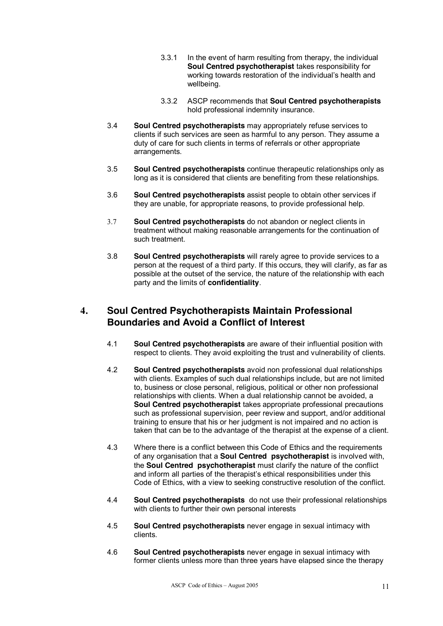- 3.3.1 In the event of harm resulting from therapy, the individual **Soul Centred psychotherapist** takes responsibility for working towards restoration of the individual's health and wellbeing.
- 3.3.2 ASCP recommends that **Soul Centred psychotherapists** hold professional indemnity insurance.
- 3.4 **Soul Centred psychotherapists** may appropriately refuse services to clients if such services are seen as harmful to any person. They assume a duty of care for such clients in terms of referrals or other appropriate arrangements.
- 3.5 **Soul Centred psychotherapists** continue therapeutic relationships only as long as it is considered that clients are benefiting from these relationships.
- 3.6 **Soul Centred psychotherapists** assist people to obtain other services if they are unable, for appropriate reasons, to provide professional help.
- 3.7 **Soul Centred psychotherapists** do not abandon or neglect clients in treatment without making reasonable arrangements for the continuation of such treatment.
- 3.8 **Soul Centred psychotherapists** will rarely agree to provide services to a person at the request of a third party. If this occurs, they will clarify, as far as possible at the outset of the service, the nature of the relationship with each party and the limits of **confidentiality***.*

# **4. Soul Centred Psychotherapists Maintain Professional Boundaries and Avoid a Conflict of Interest**

- 4.1 **Soul Centred psychotherapists** are aware of their influential position with respect to clients. They avoid exploiting the trust and vulnerability of clients.
- 4.2 **Soul Centred psychotherapists** avoid non professional dual relationships with clients. Examples of such dual relationships include, but are not limited to, business or close personal, religious, political or other non professional relationships with clients. When a dual relationship cannot be avoided, a **Soul Centred psychotherapist** takes appropriate professional precautions such as professional supervision, peer review and support, and/or additional training to ensure that his or her judgment is not impaired and no action is taken that can be to the advantage of the therapist at the expense of a client.
- 4.3 Where there is a conflict between this Code of Ethics and the requirements of any organisation that a **Soul Centred psychotherapist** is involved with, the **Soul Centred psychotherapist** must clarify the nature of the conflict and inform all parties of the therapist's ethical responsibilities under this Code of Ethics, with a view to seeking constructive resolution of the conflict.
- 4.4 **Soul Centred psychotherapists** do not use their professional relationships with clients to further their own personal interests
- 4.5 **Soul Centred psychotherapists** never engage in sexual intimacy with clients.
- 4.6 **Soul Centred psychotherapists** never engage in sexual intimacy with former clients unless more than three years have elapsed since the therapy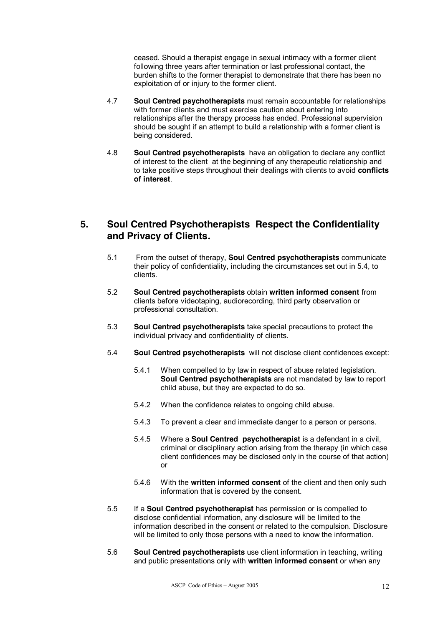ceased. Should a therapist engage in sexual intimacy with a former client following three years after termination or last professional contact, the burden shifts to the former therapist to demonstrate that there has been no exploitation of or injury to the former client.

- 4.7 **Soul Centred psychotherapists** must remain accountable for relationships with former clients and must exercise caution about entering into relationships after the therapy process has ended. Professional supervision should be sought if an attempt to build a relationship with a former client is being considered.
- 4.8 **Soul Centred psychotherapists** have an obligation to declare any conflict of interest to the client at the beginning of any therapeutic relationship and to take positive steps throughout their dealings with clients to avoid **conflicts of interest**.

# **5. Soul Centred Psychotherapists Respect the Confidentiality and Privacy of Clients.**

- 5.1 From the outset of therapy, **Soul Centred psychotherapists** communicate their policy of confidentiality, including the circumstances set out in 5.4, to clients.
- 5.2 **Soul Centred psychotherapists** obtain **written informed consent** from clients before videotaping, audiorecording, third party observation or professional consultation.
- 5.3 **Soul Centred psychotherapists** take special precautions to protect the individual privacy and confidentiality of clients.
- 5.4 **Soul Centred psychotherapists** will not disclose client confidences except:
	- 5.4.1 When compelled to by law in respect of abuse related legislation. **Soul Centred psychotherapists** are not mandated by law to report child abuse, but they are expected to do so.
	- 5.4.2 When the confidence relates to ongoing child abuse.
	- 5.4.3 To prevent a clear and immediate danger to a person or persons.
	- 5.4.5 Where a **Soul Centred psychotherapist** is a defendant in a civil, criminal or disciplinary action arising from the therapy (in which case client confidences may be disclosed only in the course of that action) or
	- 5.4.6 With the **written informed consent** of the client and then only such information that is covered by the consent.
- 5.5 If a **Soul Centred psychotherapist** has permission or is compelled to disclose confidential information, any disclosure will be limited to the information described in the consent or related to the compulsion. Disclosure will be limited to only those persons with a need to know the information.
- 5.6 **Soul Centred psychotherapists** use client information in teaching, writing and public presentations only with **written informed consent** or when any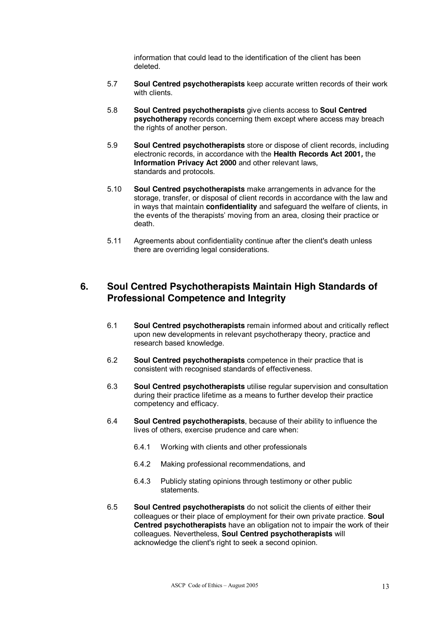information that could lead to the identification of the client has been deleted.

- 5.7 **Soul Centred psychotherapists** keep accurate written records of their work with clients.
- 5.8 **Soul Centred psychotherapists** give clients access to **Soul Centred psychotherapy** records concerning them except where access may breach the rights of another person.
- 5.9 **Soul Centred psychotherapists** store or dispose of client records, including electronic records, in accordance with the **Health Records Act 2001***,* the **Information Privacy Act 2000** and other relevant laws, standards and protocols.
- 5.10 **Soul Centred psychotherapists** make arrangements in advance for the storage, transfer, or disposal of client records in accordance with the law and in ways that maintain **confidentiality** and safeguard the welfare of clients, in the events of the therapists' moving from an area, closing their practice or death.
- 5.11 Agreements about confidentiality continue after the client's death unless there are overriding legal considerations.

# **6. Soul Centred Psychotherapists Maintain High Standards of Professional Competence and Integrity**

- 6.1 **Soul Centred psychotherapists** remain informed about and critically reflect upon new developments in relevant psychotherapy theory, practice and research based knowledge.
- 6.2 **Soul Centred psychotherapists** competence in their practice that is consistent with recognised standards of effectiveness.
- 6.3 **Soul Centred psychotherapists** utilise regular supervision and consultation during their practice lifetime as a means to further develop their practice competency and efficacy.
- 6.4 **Soul Centred psychotherapists**, because of their ability to influence the lives of others, exercise prudence and care when:
	- 6.4.1 Working with clients and other professionals
	- 6.4.2 Making professional recommendations, and
	- 6.4.3 Publicly stating opinions through testimony or other public statements.
- 6.5 **Soul Centred psychotherapists** do not solicit the clients of either their colleagues or their place of employment for their own private practice. **Soul Centred psychotherapists** have an obligation not to impair the work of their colleagues. Nevertheless, **Soul Centred psychotherapists** will acknowledge the client's right to seek a second opinion.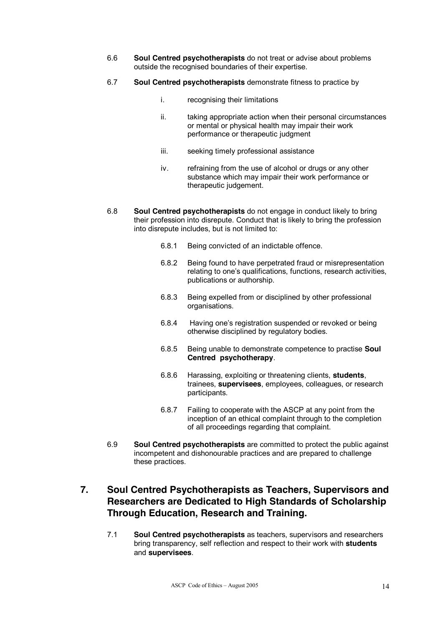- 6.6 **Soul Centred psychotherapists** do not treat or advise about problems outside the recognised boundaries of their expertise.
- 6.7 **Soul Centred psychotherapists** demonstrate fitness to practice by
	- i. recognising their limitations
	- ii. taking appropriate action when their personal circumstances or mental or physical health may impair their work performance or therapeutic judgment
	- iii. seeking timely professional assistance
	- iv. refraining from the use of alcohol or drugs or any other substance which may impair their work performance or therapeutic judgement.
- 6.8 **Soul Centred psychotherapists** do not engage in conduct likely to bring their profession into disrepute. Conduct that is likely to bring the profession into disrepute includes, but is not limited to:
	- 6.8.1 Being convicted of an indictable offence.
	- 6.8.2 Being found to have perpetrated fraud or misrepresentation relating to one's qualifications, functions, research activities, publications or authorship.
	- 6.8.3 Being expelled from or disciplined by other professional organisations.
	- 6.8.4 Having one's registration suspended or revoked or being otherwise disciplined by regulatory bodies.
	- 6.8.5 Being unable to demonstrate competence to practise **Soul Centred psychotherapy**.
	- 6.8.6 Harassing, exploiting or threatening clients, **students**, trainees, **supervisees**, employees, colleagues, or research participants.
	- 6.8.7 Failing to cooperate with the ASCP at any point from the inception of an ethical complaint through to the completion of all proceedings regarding that complaint.
- 6.9 **Soul Centred psychotherapists** are committed to protect the public against incompetent and dishonourable practices and are prepared to challenge these practices.

# **7. Soul Centred Psychotherapists as Teachers, Supervisors and Researchers are Dedicated to High Standards of Scholarship Through Education, Research and Training.**

7.1 **Soul Centred psychotherapists** as teachers, supervisors and researchers bring transparency, self reflection and respect to their work with **students** and **supervisees**.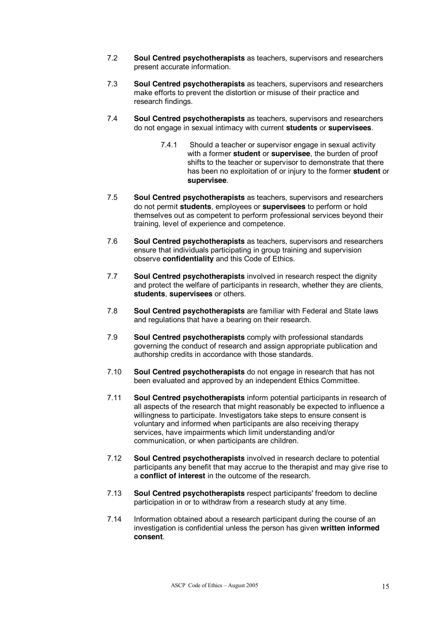- 7.2 **Soul Centred psychotherapists** as teachers, supervisors and researchers present accurate information.
- 7.3 **Soul Centred psychotherapists** as teachers, supervisors and researchers make efforts to prevent the distortion or misuse of their practice and research findings.
- 7.4 **Soul Centred psychotherapists** as teachers, supervisors and researchers do not engage in sexual intimacy with current **students** or **supervisees**.
	- 7.4.1 Should a teacher or supervisor engage in sexual activity with a former **student** or **supervisee**, the burden of proof shifts to the teacher or supervisor to demonstrate that there has been no exploitation of or injury to the former **student** or **supervisee**.
- 7.5 **Soul Centred psychotherapists** as teachers, supervisors and researchers do not permit **students**, employees or **supervisees** to perform or hold themselves out as competent to perform professional services beyond their training, level of experience and competence.
- 7.6 **Soul Centred psychotherapists** as teachers, supervisors and researchers ensure that individuals participating in group training and supervision observe **confidentiality** and this Code of Ethics.
- 7.7 **Soul Centred psychotherapists** involved in research respect the dignity and protect the welfare of participants in research, whether they are clients, **students**, **supervisees** or others.
- 7.8 **Soul Centred psychotherapists** are familiar with Federal and State laws and regulations that have a bearing on their research.
- 7.9 **Soul Centred psychotherapists** comply with professional standards governing the conduct of research and assign appropriate publication and authorship credits in accordance with those standards.
- 7.10 **Soul Centred psychotherapists** do not engage in research that has not been evaluated and approved by an independent Ethics Committee.
- 7.11 **Soul Centred psychotherapists** inform potential participants in research of all aspects of the research that might reasonably be expected to influence a willingness to participate. Investigators take steps to ensure consent is voluntary and informed when participants are also receiving therapy services, have impairments which limit understanding and/or communication, or when participants are children.
- 7.12 **Soul Centred psychotherapists** involved in research declare to potential participants any benefit that may accrue to the therapist and may give rise to a **conflict of interest** in the outcome of the research.
- 7.13 **Soul Centred psychotherapists** respect participants' freedom to decline participation in or to withdraw from a research study at any time.
- 7.14 Information obtained about a research participant during the course of an investigation is confidential unless the person has given **written informed consent**.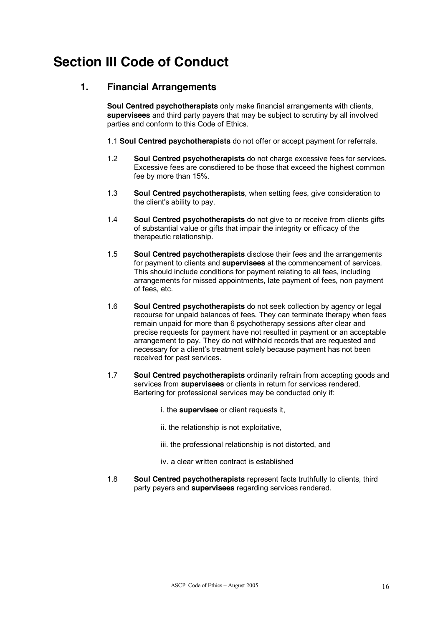# **Section III Code of Conduct**

## **1. Financial Arrangements**

**Soul Centred psychotherapists** only make financial arrangements with clients, **supervisees** and third party payers that may be subject to scrutiny by all involved parties and conform to this Code of Ethics.

- 1.1 **Soul Centred psychotherapists** do not offer or accept payment for referrals.
- 1.2 **Soul Centred psychotherapists** do not charge excessive fees for services. Excessive fees are consdiered to be those that exceed the highest common fee by more than 15%.
- 1.3 **Soul Centred psychotherapists**, when setting fees, give consideration to the client's ability to pay.
- 1.4 **Soul Centred psychotherapists** do not give to or receive from clients gifts of substantial value or gifts that impair the integrity or efficacy of the therapeutic relationship.
- 1.5 **Soul Centred psychotherapists** disclose their fees and the arrangements for payment to clients and **supervisees** at the commencement of services. This should include conditions for payment relating to all fees, including arrangements for missed appointments, late payment of fees, non payment of fees, etc.
- 1.6 **Soul Centred psychotherapists** do not seek collection by agency or legal recourse for unpaid balances of fees. They can terminate therapy when fees remain unpaid for more than 6 psychotherapy sessions after clear and precise requests for payment have not resulted in payment or an acceptable arrangement to pay. They do not withhold records that are requested and necessary for a client's treatment solely because payment has not been received for past services.
- 1.7 **Soul Centred psychotherapists** ordinarily refrain from accepting goods and services from **supervisees** or clients in return for services rendered. Bartering for professional services may be conducted only if:
	- i. the **supervisee** or client requests it,
	- ii. the relationship is not exploitative,
	- iii. the professional relationship is not distorted, and
	- iv. a clear written contract is established
- 1.8 **Soul Centred psychotherapists** represent facts truthfully to clients, third party payers and **supervisees** regarding services rendered.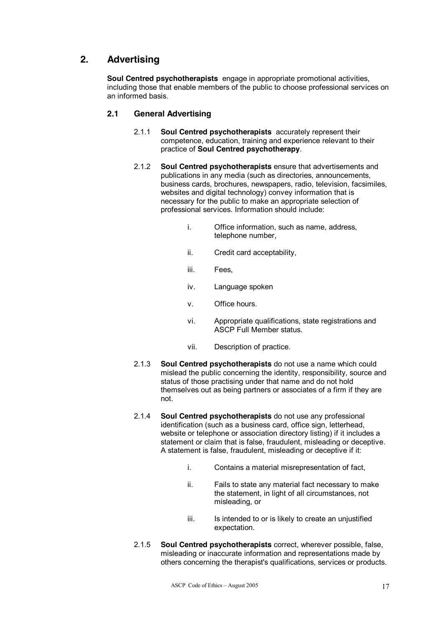# **2. Advertising**

**Soul Centred psychotherapists** engage in appropriate promotional activities, including those that enable members of the public to choose professional services on an informed basis.

#### **2.1 General Advertising**

- 2.1.1 **Soul Centred psychotherapists** accurately represent their competence, education, training and experience relevant to their practice of **Soul Centred psychotherapy**.
- 2.1.2 **Soul Centred psychotherapists** ensure that advertisements and publications in any media (such as directories, announcements, business cards, brochures, newspapers, radio, television, facsimiles, websites and digital technology) convey information that is necessary for the public to make an appropriate selection of professional services. Information should include:
	- i. Office information, such as name, address, telephone number,
	- ii. Credit card acceptability,
	- iii. Fees,
	- iv. Language spoken
	- v. Office hours.
	- vi. Appropriate qualifications, state registrations and ASCP Full Member status.
	- vii. Description of practice.
- 2.1.3 **Soul Centred psychotherapists** do not use a name which could mislead the public concerning the identity, responsibility, source and status of those practising under that name and do not hold themselves out as being partners or associates of a firm if they are not.
- 2.1.4 **Soul Centred psychotherapists** do not use any professional identification (such as a business card, office sign, letterhead, website or telephone or association directory listing) if it includes a statement or claim that is false, fraudulent, misleading or deceptive. A statement is false, fraudulent, misleading or deceptive if it:
	- i. Contains a material misrepresentation of fact,
	- ii. Fails to state any material fact necessary to make the statement, in light of all circumstances, not misleading, or
	- iii. Is intended to or is likely to create an unjustified expectation.
- 2.1.5 **Soul Centred psychotherapists** correct, wherever possible, false, misleading or inaccurate information and representations made by others concerning the therapist's qualifications, services or products.